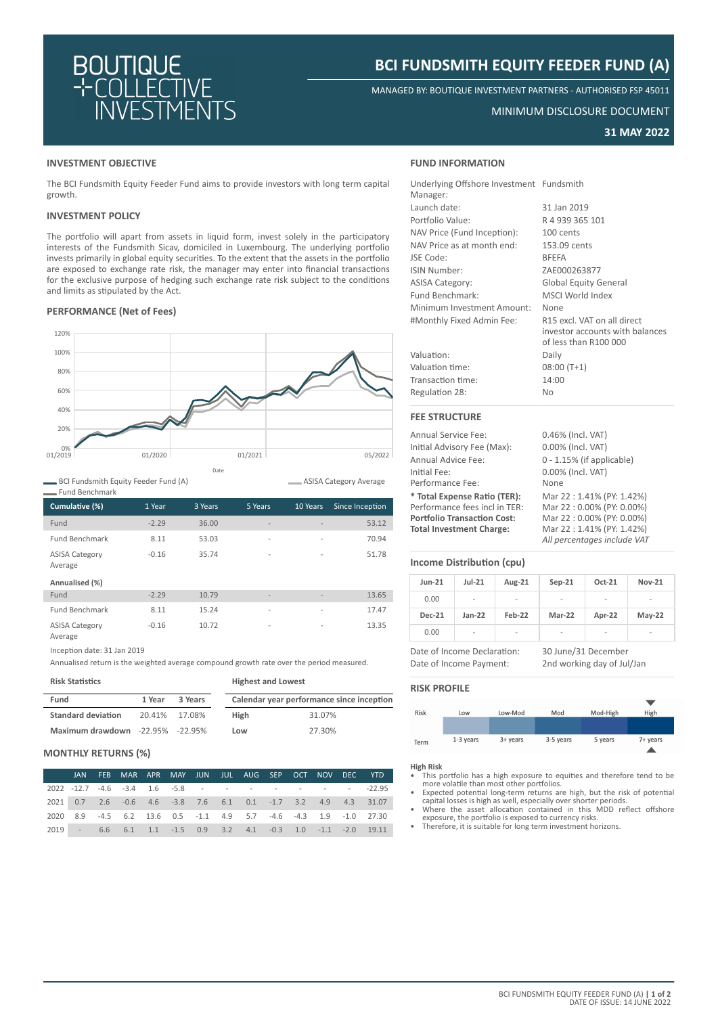

# **BCI FUNDSMITH EQUITY FEEDER FUND (A)**

MANAGED BY: BOUTIQUE INVESTMENT PARTNERS - AUTHORISED FSP 45011

## MINIMUM DISCLOSURE DOCUMENT

**31 MAY 2022**

## **INVESTMENT OBJECTIVE**

The BCI Fundsmith Equity Feeder Fund aims to provide investors with long term capital growth.

## **INVESTMENT POLICY**

The portfolio will apart from assets in liquid form, invest solely in the participatory interests of the Fundsmith Sicav, domiciled in Luxembourg. The underlying portfolio invests primarily in global equity securities. To the extent that the assets in the portfolio are exposed to exchange rate risk, the manager may enter into financial transactions for the exclusive purpose of hedging such exchange rate risk subject to the conditions and limits as stipulated by the Act.

## **PERFORMANCE (Net of Fees)**



BCI Fundsmith Equity Feeder Fund (A)

| Cumulative (%)                   | 1 Year  | 3 Years | 5 Years                  | 10 Years                 | Since Inception |
|----------------------------------|---------|---------|--------------------------|--------------------------|-----------------|
| Fund                             | $-2.29$ | 36.00   | $\overline{\phantom{a}}$ | -                        | 53.12           |
| <b>Fund Benchmark</b>            | 8.11    | 53.03   | $\overline{\phantom{a}}$ | -                        | 70.94           |
| <b>ASISA Category</b><br>Average | $-0.16$ | 35.74   | $\overline{\phantom{a}}$ | $\overline{\phantom{a}}$ | 51.78           |
| Annualisad (0/)                  |         |         |                          |                          |                 |

## **Annualised (%)**

| Fund                             | $-2, 29$ | 10.79 | $\sim$                   | $\sim$ | 13.65 |
|----------------------------------|----------|-------|--------------------------|--------|-------|
| Fund Benchmark                   | 8.11     | 15.24 | $\overline{\phantom{a}}$ | $\,$   | 17.47 |
| <b>ASISA Category</b><br>Average | $-0.16$  | 10.72 | $\overline{\phantom{a}}$ |        | 13.35 |

Inception date: 31 Jan 2019

Annualised return is the weighted average compound growth rate over the period measured.

| <b>Risk Statistics</b>                  |        |               | <b>Highest and Lowest</b> |                                           |  |  |
|-----------------------------------------|--------|---------------|---------------------------|-------------------------------------------|--|--|
| Fund                                    | 1 Year | 3 Years       |                           | Calendar year performance since inception |  |  |
| <b>Standard deviation</b>               |        | 20.41% 17.08% | <b>High</b>               | 31.07%                                    |  |  |
| <b>Maximum drawdown</b> -22.95% -22.95% |        |               | Low                       | 27.30%                                    |  |  |

### **MONTHLY RETURNS (%)**

|  |  |  |  |  |  | JAN FEB MAR APR MAY JUN JUL AUG SEP OCT NOV DEC YTD              |
|--|--|--|--|--|--|------------------------------------------------------------------|
|  |  |  |  |  |  | 2022 -12.7 -4.6 -3.4 1.6 -5.8 - - - - - - - - - - - - -22.95     |
|  |  |  |  |  |  | 2021 0.7 2.6 -0.6 4.6 -3.8 7.6 6.1 0.1 -1.7 3.2 4.9 4.3 31.07    |
|  |  |  |  |  |  | 2020 8.9 -4.5 6.2 13.6 0.5 -1.1 4.9 5.7 -4.6 -4.3 1.9 -1.0 27.30 |
|  |  |  |  |  |  | 2019 - 6.6 6.1 1.1 -1.5 0.9 3.2 4.1 -0.3 1.0 -1.1 -2.0 19.11     |

## **FUND INFORMATION**

| Underlying Offshore Investment Fundsmith<br>Manager: |                                                                                         |
|------------------------------------------------------|-----------------------------------------------------------------------------------------|
| Launch date:                                         | 31 Jan 2019                                                                             |
| Portfolio Value:                                     | R 4 939 365 101                                                                         |
| NAV Price (Fund Inception):                          | 100 cents                                                                               |
| NAV Price as at month end:                           | 153.09 cents                                                                            |
| JSE Code:                                            | <b>BFEFA</b>                                                                            |
| <b>ISIN Number:</b>                                  | ZAE000263877                                                                            |
| <b>ASISA Category:</b>                               | <b>Global Equity General</b>                                                            |
| Fund Benchmark:                                      | MSCI World Index                                                                        |
| Minimum Investment Amount:                           | None                                                                                    |
| #Monthly Fixed Admin Fee:                            | R15 excl. VAT on all direct<br>investor accounts with balances<br>of less than R100 000 |
| Valuation:                                           | Daily                                                                                   |
| Valuation time:                                      | $08:00(T+1)$                                                                            |
| Transaction time:                                    | 14:00                                                                                   |
| Regulation 28:                                       | No                                                                                      |

## **FEE STRUCTURE**

ASISA Category Average

Annual Service Fee: 0.46% (Incl. VAT) Initial Advisory Fee (Max): 0.00% (Incl. VAT) Annual Advice Fee: 0 - 1.15% (if applicable) Initial Fee: 0.00% (Incl. VAT) Performance Fee: None **\* Total Expense Ratio (TER):** Mar 22 : 1.41% (PY: 1.42%) Performance fees incl in TER: Mar 22 : 0.00% (PY: 0.00%)<br> **Portfolio Transaction Cost:** Mar 22 : 0.00% (PY: 0.00%) **Portfolio Transaction Cost: Total Investment Charge:** Mar 22 : 1.41% (PY: 1.42%)

*All percentages include VAT*

## **Income Distribution (cpu)**

| $Jun-21$                    | $Jul-21$ | Aug-21 | $Sep-21$            | $Oct-21$ | <b>Nov-21</b> |
|-----------------------------|----------|--------|---------------------|----------|---------------|
| 0.00                        | ٠        | -      |                     |          |               |
| <b>Dec-21</b>               | $Jan-22$ | Feb-22 | <b>Mar-22</b>       | Apr-22   | $May-22$      |
| 0.00                        | -        | ۰      |                     |          |               |
| Date of Income Declaration: |          |        | 30 June/31 December |          |               |

Date of Income Payment: 2nd working day of Jul/Jan

## **RISK PROFILE**



## **High Risk**

- This portfolio has a high exposure to equities and therefore tend to be more volatile than most other portfolios.
- Expected potential long-term returns are high, but the risk of potential capital losses is high as well, especially over shorter periods. Where the asset allocation contained in this MDD reflect offshore
- exposure, the portfolio is exposed to currency risks. Therefore, it is suitable for long term investment horizons.
-